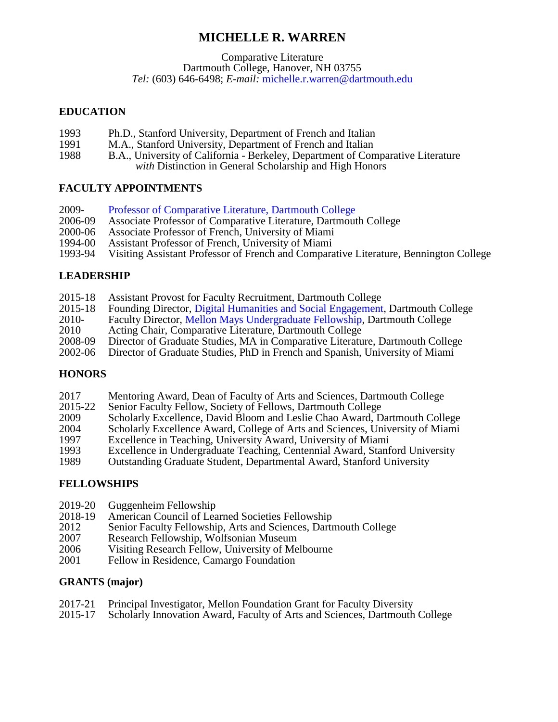# **MICHELLE R. WARREN**

Comparative Literature

Dartmouth College, Hanover, NH 03755

*Tel:* (603) 646-6498; *E-mail:* [michelle.r.warren@dartmouth.edu](mailto:michelle.r.warren@dartmouth.edu)

### **EDUCATION**

- 1993 Ph.D., Stanford University, Department of French and Italian<br>1991 M.A., Stanford University, Department of French and Italian
- 1991 M.A., Stanford University, Department of French and Italian<br>1988 B.A., University of California Berkeley, Department of Con
- B.A., University of California Berkeley, Department of Comparative Literature *with* Distinction in General Scholarship and High Honors

## **FACULTY APPOINTMENTS**

- 2009- [Professor of Comparative Literature, Dartmouth College](https://home.dartmouth.edu/faculty-directory/michelle-r-warren)<br>2006-09 Associate Professor of Comparative Literature. Dartmout
- 2006-09 Associate Professor of Comparative Literature, Dartmouth College<br>2000-06 Associate Professor of French, University of Miami
- 2000-06 Associate Professor of French, University of Miami<br>1994-00 Assistant Professor of French, University of Miami
- 1994-00 Assistant Professor of French, University of Miami
- 1993-94 Visiting Assistant Professor of French and Comparative Literature, Bennington College

## **LEADERSHIP**

- 2015-18 Assistant Provost for Faculty Recruitment, Dartmouth College<br>2015-18 Founding Director, Digital Humanities and Social Engagement
- 2015-18 Founding Director, [Digital Humanities and Social Engagement,](https://dhse.dartmouth.edu/) Dartmouth College<br>2010- Faculty Director, Mellon Mays Undergraduate Fellowship, Dartmouth College
- 2010- Faculty Director, [Mellon Mays Undergraduate Fellowship,](https://canvas.dartmouth.edu/courses/7141) Dartmouth College<br>2010 Acting Chair. Comparative Literature. Dartmouth College
- 2010 Acting Chair, Comparative Literature, Dartmouth College<br>2008-09 Director of Graduate Studies, MA in Comparative Literatu
- 2008-09 Director of Graduate Studies, MA in Comparative Literature, Dartmouth College<br>2002-06 Director of Graduate Studies. PhD in French and Spanish. University of Miami
- Director of Graduate Studies, PhD in French and Spanish, University of Miami

## **HONORS**

- 2017 Mentoring Award, Dean of Faculty of Arts and Sciences, Dartmouth College<br>2015-22 Senior Faculty Fellow, Society of Fellows, Dartmouth College
- 2015-22 Senior Faculty Fellow, Society of Fellows, Dartmouth College<br>2009 Scholarly Excellence, David Bloom and Leslie Chao Award, D
- 2009 Scholarly Excellence, David Bloom and Leslie Chao Award, Dartmouth College<br>2004 Scholarly Excellence Award, College of Arts and Sciences, University of Miami
- 2004 Scholarly Excellence Award, College of Arts and Sciences, University of Miami<br>1997 Excellence in Teaching, University Award, University of Miami
- 1997 Excellence in Teaching, University Award, University of Miami
- 1993 Excellence in Undergraduate Teaching, Centennial Award, Stanford University<br>1989 Outstanding Graduate Student, Departmental Award, Stanford University
- 1989 Outstanding Graduate Student, Departmental Award, Stanford University

## **FELLOWSHIPS**

- 2019-20 Guggenheim Fellowship<br>2018-19 American Council of Lea
- 2018-19 American Council of Learned Societies Fellowship<br>2012 Senior Faculty Fellowship, Arts and Sciences, Darti
- 2012 Senior Faculty Fellowship, Arts and Sciences, Dartmouth College<br>2007 Research Fellowship, Wolfsonian Museum
- 2007 Research Fellowship, Wolfsonian Museum<br>2006 Visiting Research Fellow, University of Me
- 2006 Visiting Research Fellow, University of Melbourne<br>2001 Fellow in Residence, Camargo Foundation
- Fellow in Residence, Camargo Foundation

## **GRANTS (major)**

- 2017-21 Principal Investigator, Mellon Foundation Grant for Faculty Diversity<br>2015-17 Scholarly Innovation Award, Faculty of Arts and Sciences, Dartmouth
- 2015-17 Scholarly Innovation Award, Faculty of Arts and Sciences, Dartmouth College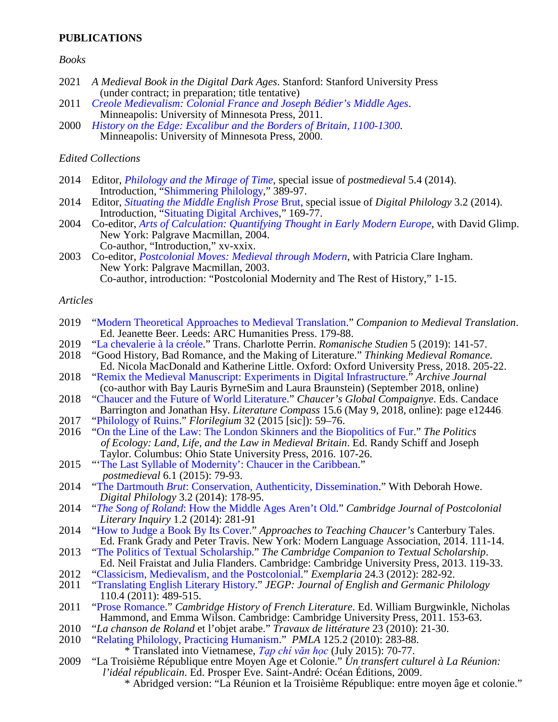### **PUBLICATIONS**

#### *Books*

- 2021 *A Medieval Book in the Digital Dark Ages*. Stanford: Stanford University Press (under contract; in preparation; title tentative)
- <sup>2011</sup> *Creole Medievalism: Colonial France and Joseph Bédier's Middle Ages*[.](https://books.google.com/books?id=UrzZlnDGKsQC&printsec=frontcover&source=gbs_ge_summary_r&cad=0#v=onepage&q&f=false) Minneapolis: University of Minnesota Press, 2011.
- <sup>2000</sup> *History on the Edge: Excalibur and the Borders of Britain, 1100-1300*[.](https://books.google.com/books?id=Sav8kxWEOXsC&printsec=frontcover&dq=isbn:0816634912&hl=en&sa=X&ved=0ahUKEwiPl5y9ouTVAhVRfiYKHR6CDY0Q6AEIJjAA#v=onepage&q&f=false) Minneapolis: University of Minnesota Press, 2000.

#### *Edited Collections*

- <sup>2014</sup> Editor, *Philology and the Mirage of Time*, special issue of *postmedieval* 5.4 (2014). Introduction, ["Shimmering Philology,](https://www.academia.edu/9972958/Shimmering_Philology)" 389-97.
- <sup>2014</sup> Editor, *Situating the Middle English Prose* Brut, special issue of *Digital Philology* 3.2 (2014). Introduction, ["Situating Digital Archives,](https://www.academia.edu/10012707/Situating_Digital_Archives)" 169-77.
- <sup>2004</sup> Co-editor, *Arts of Calculation: Quantifying Thought in Early Modern Europe*[,](https://www.academia.edu/5130445/Arts_of_Calculation_Quantifying_Thought_in_Early_Modern_Europe) with David Glimp. New York: Palgrave Macmillan, 2004. Co-author, "Introduction," xv-xxix.
- <sup>2003</sup> Co-editor, *Postcolonial Moves: Medieval through Modern*[,](https://books.google.co.in/books?id=pefIAAAAQBAJ&printsec=copyright#v=onepage&q&f=false) with Patricia Clare Ingham. New York: Palgrave Macmillan, 2003. Co-author, introduction: "Postcolonial Modernity and The Rest of History," 1-15.

#### *Articles*

- <sup>2019</sup> ["Modern Theoretical Approaches to Medieval Translation.](https://digitalcommons.dartmouth.edu/facoa/3975/)" *Companion to Medieval Translation*. Ed. Jeanette Beer. Leeds: ARC Humanities Press. 179-88.
- 2019 ["La chevalerie à la créole.](http://www.romanischestudien.du/index.php/rst/article/view/461)" Trans. Charlotte Perrin. *Romanische Studien* 5 (2019): 141-57.
- Ed. Nicola MacDonald and Katherine Little. Oxford: Oxford University Press, 2018. 205-22.<br>
<sup>2018</sup> "Remix the Medieval Manuscript: Experiments in Digital Infrastructure." *Archive Journal*
- 2018 ["Remix the Medieval Manuscript: Experiments in Digital Infrastructure.](http://www.archivejournal.net/essays/remix-the-medieval-manuscript-experiments-with-digital-infrastructure/)" *Archive Journal* (co-author with Bay Lauris ByrneSim and Laura Braunstein) (September 2018, online)
- 2018 ["Chaucer and the Future of World Literature.](https://sites.dartmouth.edu/RemixBrut/2019/03/28/translation-and-world-literature/)" *Chaucer's Global Compaignye*. Eds. Candace Barrington and Jonathan Hsy. *Literature Compass* 15.6 (May 9, 2018, online): page e12446.
- 2017 ["Philology of Ruins.](https://www.academia.edu/34072950/Philology_in_Ruins)" *Florilegium* 32 (2015 [sic]): 59–76.
- 2016 ["On the Line of the Law: The London Skinners and the Biopolitics of Fur.](https://www.academia.edu/34073041/London_Skinners_and_the_Biopolitics_of_Fur)" *The Politics of Ecology: Land, Life, and the Law in Medieval Britain*. Ed. Randy Schiff and Joseph Taylor. Columbus: Ohio State University Press, 2016. 107-26.
- <sup>2015</sup> "['The Last Syllable of Modernity': Chaucer in the Caribbean.](https://www.academia.edu/12032111/Chaucer_in_the_Caribbean)" *postmedieval* 6.1 (2015): 79-93.
- <sup>2014</sup> "The Dartmouth *Brut*[: Conservation, Authenticity, Dissemination.](https://www.academia.edu/10143246/Conservation_Authenticity_Dissemination)" With Deborah Howe. *Digital Philology* 3.2 (2014): 178-95.
- <sup>2014</sup> "*The Song of Roland*: How the Middle Ages Aren't Old." *Cambridge Journal of Postcolonial Literary Inquiry* 1.2 (2014): 281-91
- <sup>2014</sup> ["How to Judge a Book By Its Cover.](https://www.academia.edu/7043402/Chaucer_Canterbury_Tales_How_to_Judge_a_Book_by_Its_Cover)" *Approaches to Teaching Chaucer's* Canterbury Tales.Ed. Frank Grady and Peter Travis. New York: Modern Language Association, 2014. 111-14.
- <sup>2013</sup> ["The Politics of Textual Scholarship.](https://www.academia.edu/5400614/Politics_of_Textual_Scholarship)" *The Cambridge Companion to Textual Scholarship*.<br>
Ed. Neil Fraistat and Julia Flanders. Cambridge: Cambridge University Press, 2013. 119-33.<br>
<sup>2012</sup> "Classicism, Medievalism,
- 2012 ["Classicism, Medievalism, and the Postcolonial.](https://www.academia.edu/5140307/Classicism_Medievalism_and_the_Postcolonial)" *Exemplaria* 24.3 (2012): 282-92.
- ["Translating English Literary History.](https://www.academia.edu/3816605/Translating_English_Literary_History)" *JEGP: Journal of English and Germanic Philology* 110.4 (2011): 489-515.
- 2011 ["Prose Romance.](https://www.academia.edu/34278612/French_Prose_Romance)" *Cambridge History of French Literature*. Ed. William Burgwinkle, Nicholas Hammond, and Emma Wilson. Cambridge: Cambridge University Press, 2011. 153-63.
- 2010 "*La chanson de Roland* et l'objet arabe." *Travaux de littérature* 23 (2010): 21-30.
- <sup>2</sup> ["Relating Philology, Practicing Humanism.](https://www.academia.edu/3816609/Relating_Philology_Practicing_Humanism)" *PMLA* 125.2 (2010): 283-88.<br><sup>\*</sup> Translated into Vietnamese, *Tap chi văn học* (July 2015): 70-77.

2009 "La Troisième République entre Moyen Age et Colonie." Un transfert culturel à La Réunion:<br>l'idéal républicain. Ed. Prosper Eve. Saint-André: Océan Éditions, 2009.

\* Abridged version: "La Réunion et la Troisième République: entre moyen âge et colonie."